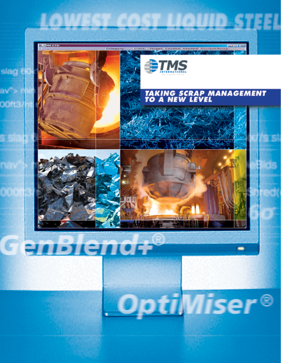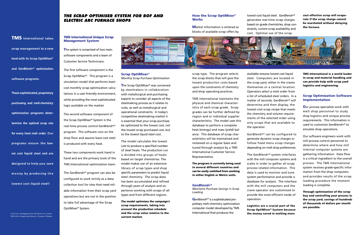# TMS **International takes**

**scrap management to a new level with its Scrap OptiMiser® and GenBlend+® optimization software programs.** 

**These sophisticated, proprietary purchasing and melt-chemistry optimization programs detertermine the optimal scrap mix for every heat melt order. Our programs ensure the lowest cost liquid steel and are designed to help you save m o n ey by producing t h e lowest cost liquid steel!**

# Scrap OptiMiser®

*Monthly Scrap Purchase Optimization*

The Scrap OptiMiser® was conceived by steelmakers in collaboration with metallurgical and purchasing experts to consider all aspects of the steelmaking process as it relates to costs, as well as metallurgical and operational constraints. In today's competitive steelmaking market it is essential that your scrap purchase be optimized to the lowest cost, not the lowest scrap purchased cost, but to the *lowest liquid steel cost.*

The system is comprised of two main software components and a team of Customer Service Technicians.

> The model calculates the lowest cost to produce a specified number of steel heats. The production run is divided into groups of heats based on target chemistries. The model makes use of an extensive library of scrap types and shop specific parameters to predict liquid steel chemistry. The scrap data has been accumulated and refined through years of analysis and experience working with scraps of all types and from different regions.

# How the Scrap OptiMiser® **Works**

The model optimizes the campaign's scrap requirements, taking into account the production schedule and the scrap value relative to the current market.

# TMS International Unique Scrap Management System

The first software component is the Scrap OptiMiser®. This program is a simulation model that performs leastcost monthly scrap optimization calculations in a user-friendly environment, while providing the most sophisticated logic available on the market.

The second software component of the Scrap OptiMiser® System is the real-time process control GenBlend+® program. This software runs on the shop floor and assures least-cost steel is produced with every heat.

These two components work hand in hand and are the primary tools of the TMS International optimization team.

The GenBlend+® program can also be configured to work strictly as a data collection tool for sites that need reliable information from their scrap yard operations but are not in the position to take full advantage of the Scrap OptiMiser® System.



# *The Scrap OptiMiser System for BOF and Electric Arc Furnace Shops*

*Front cover: photograph lower left, Electric Arc Furnace (EAF) with a charge bucket above it, Courtesy of Siemens.* **Our process specialists work with** melt shop personnel to study shop logistics and unique process requirements. This information is used to customize GenBlend+® to emulate shop operations.

Market information is entered as blocks of available scrap offers by

scrap type. The program selects the scrap blocks that will give the lowest production costs based upon the constraints of chemistry and shop operating practices.

TMS International maintains the physical and chemical characteristics of each scrap grade. Scrap grades can be further defined by region and or individual supplier characteristics. The model uses this database to perform a complete heat (energy) and mass (yield) balance. This database of scrap characteristics will be maintained and reviewed on a regular basis and tuned through analysis by a TMS International Customer Service Representative.

The program is currently being used in several different countries and can be easily switched from working in either English or Metric units.

# GenBlend+®

*Maintains Purchase Savings in Scrap Loading*

GenBlend+® is a sophisticated proprietary melt chemistry optimization computer model developed by TMS International that produces the

lowest-cost liquid steel. GenBlend+® generates real-time scrap charges based on grade chemistries, shop constraints, current scrap availability and cost. Optimal use of the scrap

available ensures lowest cost liquid steel. Computers are located in the scrap yard, either in the cranes themselves or a central location. Operators select a melt order from a list of scheduled steel orders. In a matter of seconds, GenBlend+® will determine and then display, the lowest-cost scrap recipe that meets the chemistry and volume requirements of the selected order using only scraps that are available to

the operator.

GenBlend+® can be configured to generate dynamic scrap charges or follow fixed menu scrap charges depending on melt shop preferences.

The GenBlend+® system interfaces with the mill computer systems and scales in order to gather all scrap process related information. This data is used to monitor and tune system performance and provide a database for analysis. The interface with the mill computers and the crane operator are customized to provide the most efficient mode of operation.

Logistics are a crucial part of the Scrap OptiMiser® System because the money saved in melting more

cost effective scrap will evaporate if the scrap charge cannot be marshaled without delaying the furnace.

TMS International is a world leader in scrap and material handling and can provide help with scrap yard logistics and engineering.

# Scrap Optimization Software Implementation

Our software engineers work with mill process control personnel to determine where and how mill internal computer systems are gathering information. Data flow is a critical ingredient to the overall process. The TMS International system receives grade-specific information from the shop computers and provides results of the scrap loading procedure the moment loading is complete.

Through optimization of the scrap buy and controlling your process in the scrap yard, savings of hundreds of thousands of dollars per month are possible.